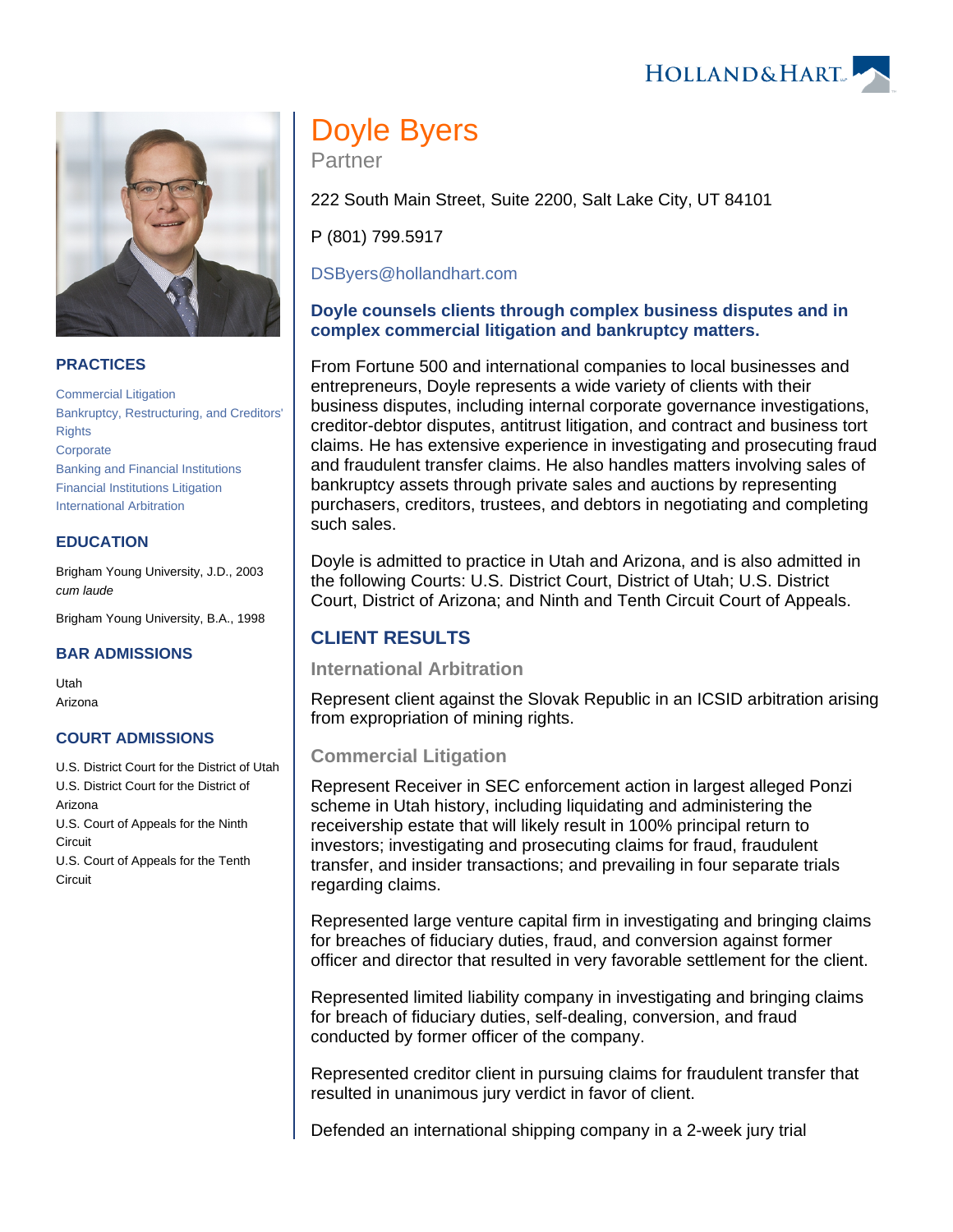



## **PRACTICES**

[Commercial Litigation](https://www.hollandhart.com/19684) [Bankruptcy, Restructuring, and Creditors'](https://www.hollandhart.com/19673)  **[Rights](https://www.hollandhart.com/19673) [Corporate](https://www.hollandhart.com/19668)** [Banking and Financial Institutions](https://www.hollandhart.com/19670) [Financial Institutions Litigation](https://www.hollandhart.com/28488)  [International Arbitration](https://www.hollandhart.com/33101)

#### **EDUCATION**

Brigham Young University, J.D., 2003 cum laude

Brigham Young University, B.A., 1998

#### **BAR ADMISSIONS**

Utah Arizona

#### **COURT ADMISSIONS**

U.S. District Court for the District of Utah U.S. District Court for the District of Arizona U.S. Court of Appeals for the Ninth **Circuit** U.S. Court of Appeals for the Tenth **Circuit** 

# Doyle Byers

Partner

222 South Main Street, Suite 2200, Salt Lake City, UT 84101

P (801) 799.5917

[DSByers@hollandhart.com](mailto:DSByers@hollandhart.com)

## **Doyle counsels clients through complex business disputes and in complex commercial litigation and bankruptcy matters.**

From Fortune 500 and international companies to local businesses and entrepreneurs, Doyle represents a wide variety of clients with their business disputes, including internal corporate governance investigations, creditor-debtor disputes, antitrust litigation, and contract and business tort claims. He has extensive experience in investigating and prosecuting fraud and fraudulent transfer claims. He also handles matters involving sales of bankruptcy assets through private sales and auctions by representing purchasers, creditors, trustees, and debtors in negotiating and completing such sales.

Doyle is admitted to practice in Utah and Arizona, and is also admitted in the following Courts: U.S. District Court, District of Utah; U.S. District Court, District of Arizona; and Ninth and Tenth Circuit Court of Appeals.

## **CLIENT RESULTS**

## **International Arbitration**

Represent client against the Slovak Republic in an ICSID arbitration arising from expropriation of mining rights.

## **Commercial Litigation**

Represent Receiver in SEC enforcement action in largest alleged Ponzi scheme in Utah history, including liquidating and administering the receivership estate that will likely result in 100% principal return to investors; investigating and prosecuting claims for fraud, fraudulent transfer, and insider transactions; and prevailing in four separate trials regarding claims.

Represented large venture capital firm in investigating and bringing claims for breaches of fiduciary duties, fraud, and conversion against former officer and director that resulted in very favorable settlement for the client.

Represented limited liability company in investigating and bringing claims for breach of fiduciary duties, self-dealing, conversion, and fraud conducted by former officer of the company.

Represented creditor client in pursuing claims for fraudulent transfer that resulted in unanimous jury verdict in favor of client.

Defended an international shipping company in a 2-week jury trial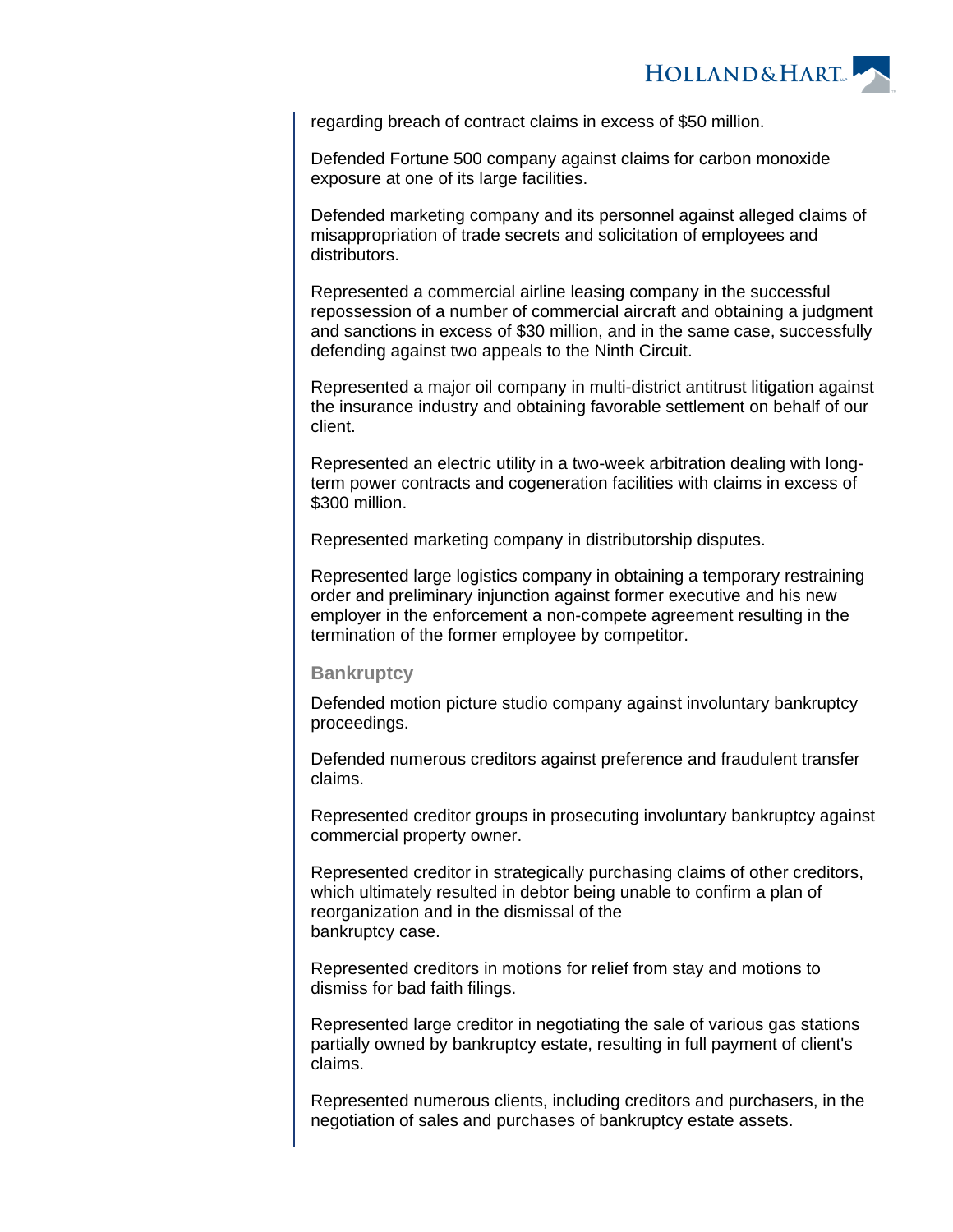

regarding breach of contract claims in excess of \$50 million.

Defended Fortune 500 company against claims for carbon monoxide exposure at one of its large facilities.

Defended marketing company and its personnel against alleged claims of misappropriation of trade secrets and solicitation of employees and distributors.

Represented a commercial airline leasing company in the successful repossession of a number of commercial aircraft and obtaining a judgment and sanctions in excess of \$30 million, and in the same case, successfully defending against two appeals to the Ninth Circuit.

Represented a major oil company in multi-district antitrust litigation against the insurance industry and obtaining favorable settlement on behalf of our client.

Represented an electric utility in a two-week arbitration dealing with longterm power contracts and cogeneration facilities with claims in excess of \$300 million.

Represented marketing company in distributorship disputes.

Represented large logistics company in obtaining a temporary restraining order and preliminary injunction against former executive and his new employer in the enforcement a non-compete agreement resulting in the termination of the former employee by competitor.

#### **Bankruptcy**

Defended motion picture studio company against involuntary bankruptcy proceedings.

Defended numerous creditors against preference and fraudulent transfer claims.

Represented creditor groups in prosecuting involuntary bankruptcy against commercial property owner.

Represented creditor in strategically purchasing claims of other creditors, which ultimately resulted in debtor being unable to confirm a plan of reorganization and in the dismissal of the bankruptcy case.

Represented creditors in motions for relief from stay and motions to dismiss for bad faith filings.

Represented large creditor in negotiating the sale of various gas stations partially owned by bankruptcy estate, resulting in full payment of client's claims.

Represented numerous clients, including creditors and purchasers, in the negotiation of sales and purchases of bankruptcy estate assets.